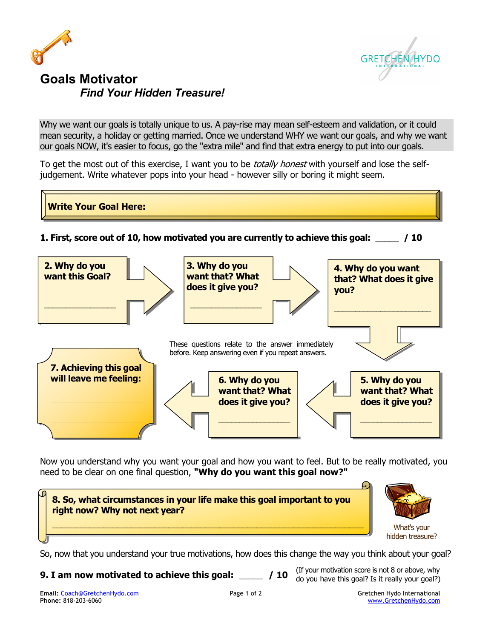



## **Goals Motivator** *Find Your Hidden Treasure!*

Why we want our goals is totally unique to us. A pay-rise may mean self-esteem and validation, or it could mean security, a holiday or getting married. Once we understand WHY we want our goals, and why we want our goals NOW, it's easier to focus, go the "extra mile" and find that extra energy to put into our goals.

To get the most out of this exercise, I want you to be *totally honest* with yourself and lose the selfjudgement. Write whatever pops into your head - however silly or boring it might seem.



Now you understand why you want your goal and how you want to feel. But to be really motivated, you need to be clear on one final question, **"Why do you want this goal now?"**



So, now that you understand your true motivations, how does this change the way you think about your goal?

**9. I am now motivated to achieve this goal:** \_\_\_\_\_ **/ 10** 

(If your motivation score is not 8 or above, why do you have this goal? Is it really your goal?)